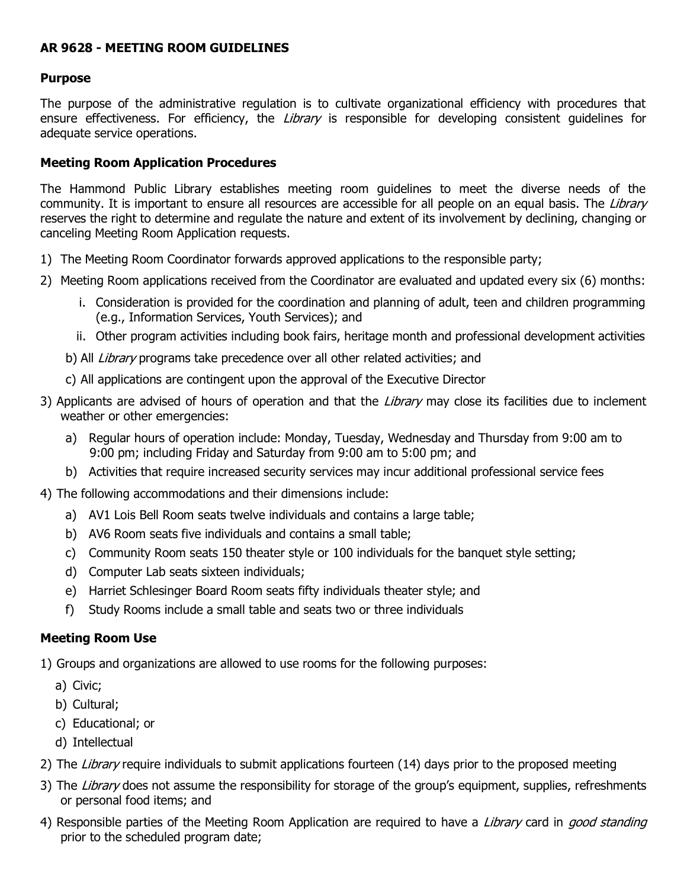## **AR 9628 - MEETING ROOM GUIDELINES**

#### **Purpose**

The purpose of the administrative regulation is to cultivate organizational efficiency with procedures that ensure effectiveness. For efficiency, the *Library* is responsible for developing consistent quidelines for adequate service operations.

### **Meeting Room Application Procedures**

The Hammond Public Library establishes meeting room guidelines to meet the diverse needs of the community. It is important to ensure all resources are accessible for all people on an equal basis. The Library reserves the right to determine and regulate the nature and extent of its involvement by declining, changing or canceling Meeting Room Application requests.

- 1) The Meeting Room Coordinator forwards approved applications to the responsible party;
- 2) Meeting Room applications received from the Coordinator are evaluated and updated every six (6) months:
	- i. Consideration is provided for the coordination and planning of adult, teen and children programming (e.g., Information Services, Youth Services); and
	- ii. Other program activities including book fairs, heritage month and professional development activities
	- b) All *Library* programs take precedence over all other related activities; and
	- c) All applications are contingent upon the approval of the Executive Director
- 3) Applicants are advised of hours of operation and that the Library may close its facilities due to inclement weather or other emergencies:
	- a) Regular hours of operation include: Monday, Tuesday, Wednesday and Thursday from 9:00 am to 9:00 pm; including Friday and Saturday from 9:00 am to 5:00 pm; and
	- b) Activities that require increased security services may incur additional professional service fees
- 4) The following accommodations and their dimensions include:
	- a) AV1 Lois Bell Room seats twelve individuals and contains a large table;
	- b) AV6 Room seats five individuals and contains a small table;
	- c) Community Room seats 150 theater style or 100 individuals for the banquet style setting;
	- d) Computer Lab seats sixteen individuals;
	- e) Harriet Schlesinger Board Room seats fifty individuals theater style; and
	- f) Study Rooms include a small table and seats two or three individuals

#### **Meeting Room Use**

1) Groups and organizations are allowed to use rooms for the following purposes:

- a) Civic;
- b) Cultural;
- c) Educational; or
- d) Intellectual
- 2) The Library require individuals to submit applications fourteen (14) days prior to the proposed meeting
- 3) The Library does not assume the responsibility for storage of the group's equipment, supplies, refreshments or personal food items; and
- 4) Responsible parties of the Meeting Room Application are required to have a *Library* card in *good standing* prior to the scheduled program date;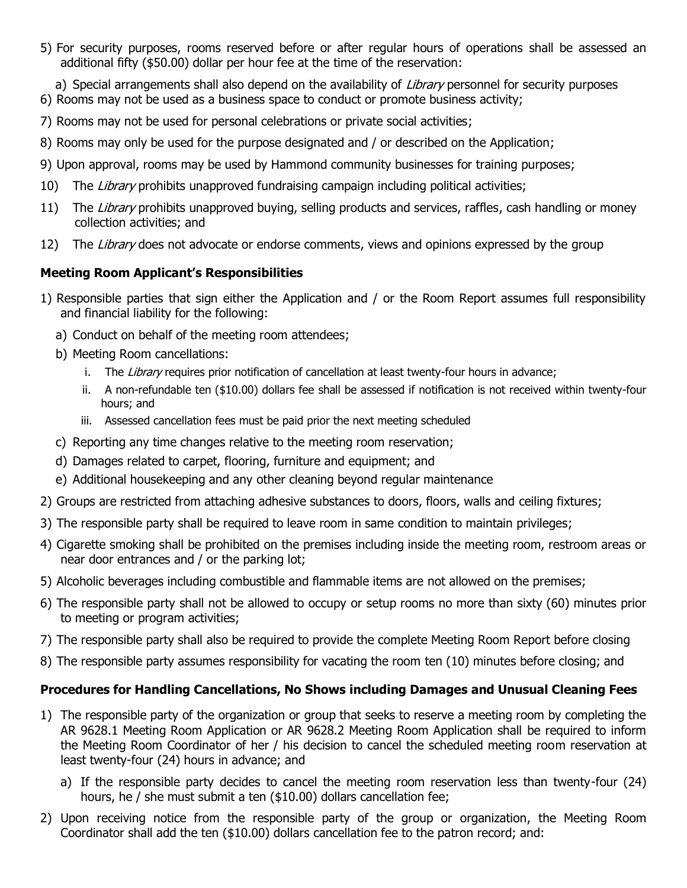5) For security purposes, rooms reserved before or after regular hours of operations shall be assessed an additional fifty (\$50.00) dollar per hour fee at the time of the reservation:

a) Special arrangements shall also depend on the availability of Library personnel for security purposes

- 6) Rooms may not be used as a business space to conduct or promote business activity;
- 7) Rooms may not be used for personal celebrations or private social activities;
- 8) Rooms may only be used for the purpose designated and / or described on the Application;
- 9) Upon approval, rooms may be used by Hammond community businesses for training purposes;
- 10) The Library prohibits unapproved fundraising campaign including political activities;
- 11) The Library prohibits unapproved buying, selling products and services, raffles, cash handling or money collection activities; and
- 12) The Library does not advocate or endorse comments, views and opinions expressed by the group

# **Meeting Room Applicant's Responsibilities**

- 1) Responsible parties that sign either the Application and / or the Room Report assumes full responsibility and financial liability for the following:
	- a) Conduct on behalf of the meeting room attendees;
	- b) Meeting Room cancellations:
		- i. The Library requires prior notification of cancellation at least twenty-four hours in advance;
		- ii. A non-refundable ten (\$10.00) dollars fee shall be assessed if notification is not received within twenty-four hours; and
		- iii. Assessed cancellation fees must be paid prior the next meeting scheduled
	- c) Reporting any time changes relative to the meeting room reservation;
	- d) Damages related to carpet, flooring, furniture and equipment; and
	- e) Additional housekeeping and any other cleaning beyond regular maintenance
- 2) Groups are restricted from attaching adhesive substances to doors, floors, walls and ceiling fixtures;
- 3) The responsible party shall be required to leave room in same condition to maintain privileges;
- 4) Cigarette smoking shall be prohibited on the premises including inside the meeting room, restroom areas or near door entrances and / or the parking lot;
- 5) Alcoholic beverages including combustible and flammable items are not allowed on the premises;
- 6) The responsible party shall not be allowed to occupy or setup rooms no more than sixty (60) minutes prior to meeting or program activities;
- 7) The responsible party shall also be required to provide the complete Meeting Room Report before closing
- 8) The responsible party assumes responsibility for vacating the room ten (10) minutes before closing; and

# **Procedures for Handling Cancellations, No Shows including Damages and Unusual Cleaning Fees**

- 1) The responsible party of the organization or group that seeks to reserve a meeting room by completing the AR 9628.1 Meeting Room Application or AR 9628.2 Meeting Room Application shall be required to inform the Meeting Room Coordinator of her / his decision to cancel the scheduled meeting room reservation at least twenty-four (24) hours in advance; and
	- a) If the responsible party decides to cancel the meeting room reservation less than twenty-four (24) hours, he / she must submit a ten (\$10.00) dollars cancellation fee;
- 2) Upon receiving notice from the responsible party of the group or organization, the Meeting Room Coordinator shall add the ten (\$10.00) dollars cancellation fee to the patron record; and: